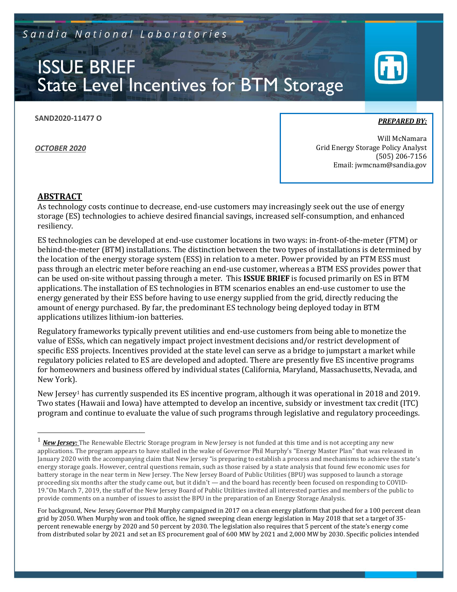Sandia National Laboratories

# ISSUE BRIEF State Level Incentives for BTM Storage

**SAND2020-11477 O**

*OCTOBER 2020*

*PREPARED BY:* 

Will McNamara Grid Energy Storage Policy Analyst (505) 206-7156 Email: jwmcnam@sandia.gov

#### **ABSTRACT**

As technology costs continue to decrease, end-use customers may increasingly seek out the use of energy storage (ES) technologies to achieve desired financial savings, increased self-consumption, and enhanced resiliency.

ES technologies can be developed at end-use customer locations in two ways: in-front-of-the-meter (FTM) or behind-the-meter (BTM) installations. The distinction between the two types of installations is determined by the location of the energy storage system (ESS) in relation to a meter. Power provided by an FTM ESS must pass through an electric meter before reaching an end-use customer, whereas a BTM ESS provides power that can be used on-site without passing through a meter. This **ISSUE BRIEF** is focused primarily on ES in BTM applications. The installation of ES technologies in BTM scenarios enables an end-use customer to use the energy generated by their ESS before having to use energy supplied from the grid, directly reducing the amount of energy purchased. By far, the predominant ES technology being deployed today in BTM applications utilizes lithium-ion batteries.

Regulatory frameworks typically prevent utilities and end-use customers from being able to monetize the value of ESSs, which can negatively impact project investment decisions and/or restrict development of specific ESS projects. Incentives provided at the state level can serve as a bridge to jumpstart a market while regulatory policies related to ES are developed and adopted. There are presently five ES incentive programs for homeowners and business offered by individual states (California, Maryland, Massachusetts, Nevada, and New York).

New Jersey<sup>1</sup> has currently suspended its ES incentive program, although it was operational in 2018 and 2019. Two states (Hawaii and Iowa) have attempted to develop an incentive, subsidy or investment tax credit (ITC) program and continue to evaluate the value of such programs through legislative and regulatory proceedings.

<sup>&</sup>lt;sup>1</sup> New Jersey: The Renewable Electric Storage program in New Jersey is not funded at this time and is not accepting any new applications. The program appears to have stalled in the wake of Governor Phil Murphy's "Energy Master Plan" that was released in January 2020 with the accompanying claim that New Jersey "is preparing to establish a process and mechanisms to achieve the state's energy storage goals. However, central questions remain, such as those raised by a state analysis that found few economic uses for battery storage in the near term in New Jersey. The New Jersey Board of Public Utilities (BPU) was supposed to launch a storage proceeding six months after the study came out, but it didn't — and the board has recently been focused on responding to COVID-19."On March 7, 2019, the staff of the New Jersey Board of Public Utilities invited all interested parties and members of the public to provide comments on a number of issues to assist the BPU in the preparation of an Energy Storage Analysis.

For background, New Jersey Governor Phil Murphy campaigned in 2017 on a clean energy platform that pushed for a 100 percent clean grid by 2050. When Murphy won and took office, he signed sweeping clean energy legislation in May 2018 that set a target of 35 percent renewable energy by 2020 and 50 percent by 2030. The legislation also requires that 5 percent of the state's energy come from distributed solar by 2021 and set an ES procurement goal of 600 MW by 2021 and 2,000 MW by 2030. Specific policies intended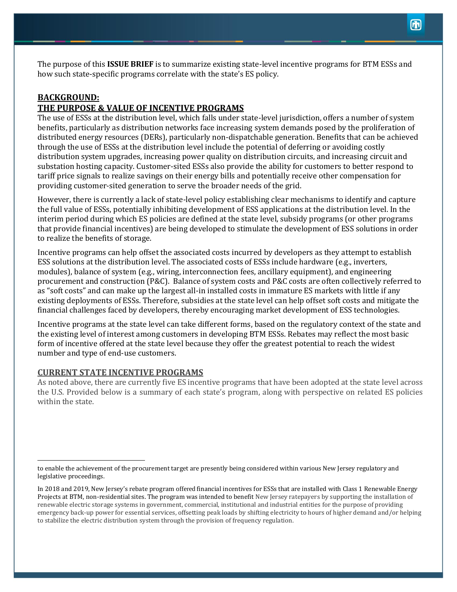The purpose of this **ISSUE BRIEF** is to summarize existing state-level incentive programs for BTM ESSs and how such state-specific programs correlate with the state's ES policy.

# **BACKGROUND: THE PURPOSE & VALUE OF INCENTIVE PROGRAMS**

The use of ESSs at the distribution level, which falls under state-level jurisdiction, offers a number of system benefits, particularly as distribution networks face increasing system demands posed by the proliferation of distributed energy resources (DERs), particularly non-dispatchable generation. Benefits that can be achieved through the use of ESSs at the distribution level include the potential of deferring or avoiding costly distribution system upgrades, increasing power quality on distribution circuits, and increasing circuit and substation hosting capacity. Customer-sited ESSs also provide the ability for customers to better respond to tariff price signals to realize savings on their energy bills and potentially receive other compensation for providing customer-sited generation to serve the broader needs of the grid.

However, there is currently a lack of state-level policy establishing clear mechanisms to identify and capture the full value of ESSs, potentially inhibiting development of ESS applications at the distribution level. In the interim period during which ES policies are defined at the state level, subsidy programs (or other programs that provide financial incentives) are being developed to stimulate the development of ESS solutions in order to realize the benefits of storage.

Incentive programs can help offset the associated costs incurred by developers as they attempt to establish ESS solutions at the distribution level. The associated costs of ESSs include hardware (e.g., inverters, modules), balance of system (e.g., wiring, interconnection fees, ancillary equipment), and engineering procurement and construction (P&C). Balance of system costs and P&C costs are often collectively referred to as "soft costs" and can make up the largest all-in installed costs in immature ES markets with little if any existing deployments of ESSs. Therefore, subsidies at the state level can help offset soft costs and mitigate the financial challenges faced by developers, thereby encouraging market development of ESS technologies.

Incentive programs at the state level can take different forms, based on the regulatory context of the state and the existing level of interest among customers in developing BTM ESSs. Rebates may reflect the most basic form of incentive offered at the state level because they offer the greatest potential to reach the widest number and type of end-use customers.

# **CURRENT STATE INCENTIVE PROGRAMS**

As noted above, there are currently five ES incentive programs that have been adopted at the state level across the U.S. Provided below is a summary of each state's program, along with perspective on related ES policies within the state.

to enable the achievement of the procurement target are presently being considered within various New Jersey regulatory and legislative proceedings.

In 2018 and 2019, New Jersey's rebate program offered financial incentives for ESSs that are installed with Class 1 Renewable Energy Projects at BTM, non-residential sites. The program was intended to benefit New Jersey ratepayers by supporting the installation of renewable electric storage systems in government, commercial, institutional and industrial entities for the purpose of providing emergency back-up power for essential services, offsetting peak loads by shifting electricity to hours of higher demand and/or helping to stabilize the electric distribution system through the provision of frequency regulation.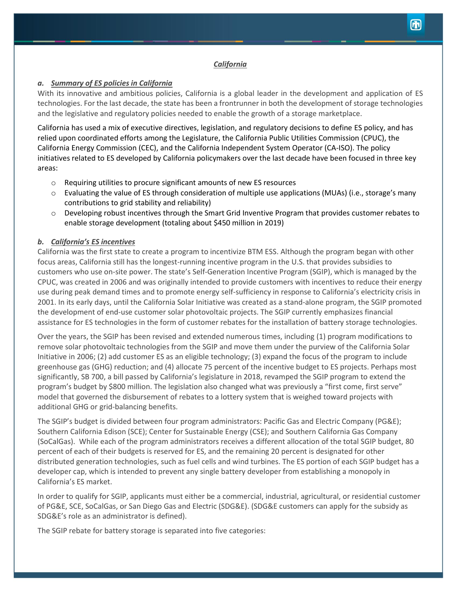#### *California*

# *a. Summary of ES policies in California*

With its innovative and ambitious policies, California is a global leader in the development and application of ES technologies. For the last decade, the state has been a frontrunner in both the development of storage technologies and the legislative and regulatory policies needed to enable the growth of a storage marketplace.

California has used a mix of executive directives, legislation, and regulatory decisions to define ES policy, and has relied upon coordinated efforts among the Legislature, the California Public Utilities Commission (CPUC), the California Energy Commission (CEC), and the California Independent System Operator (CA-ISO). The policy initiatives related to ES developed by California policymakers over the last decade have been focused in three key areas:

- o Requiring utilities to procure significant amounts of new ES resources
- o Evaluating the value of ES through consideration of multiple use applications (MUAs) (i.e., storage's many contributions to grid stability and reliability)
- o Developing robust incentives through the Smart Grid Inventive Program that provides customer rebates to enable storage development (totaling about \$450 million in 2019)

#### *b. California's ES incentives*

California was the first state to create a program to incentivize BTM ESS. Although the program began with other focus areas, California still has the longest-running incentive program in the U.S. that provides subsidies to customers who use on-site power. The state's Self-Generation Incentive Program (SGIP), which is managed by the CPUC, was created in 2006 and was originally intended to provide customers with incentives to reduce their energy use during peak demand times and to promote energy self-sufficiency in response to California's electricity crisis in 2001. In its early days, until the California Solar Initiative was created as a stand-alone program, the SGIP promoted the development of end-use customer solar photovoltaic projects. The SGIP currently emphasizes financial assistance for ES technologies in the form of customer rebates for the installation of battery storage technologies.

Over the years, the SGIP has been revised and extended numerous times, including (1) program modifications to remove solar photovoltaic technologies from the SGIP and move them under the purview of the California Solar Initiative in 2006; (2) add customer ES as an eligible technology; (3) expand the focus of the program to include greenhouse gas (GHG) reduction; and (4) allocate 75 percent of the incentive budget to ES projects. Perhaps most significantly, SB 700, a bill passed by California's legislature in 2018, revamped the SGIP program to extend the program's budget by \$800 million. The legislation also changed what was previously a "first come, first serve" model that governed the disbursement of rebates to a lottery system that is weighed toward projects with additional GHG or grid-balancing benefits.

The SGIP's budget is divided between four program administrators: Pacific Gas and Electric Company (PG&E); Southern California Edison (SCE); Center for Sustainable Energy (CSE); and Southern California Gas Company (SoCalGas). While each of the program administrators receives a different allocation of the total SGIP budget, 80 percent of each of their budgets is reserved for ES, and the remaining 20 percent is designated for other distributed generation technologies, such as fuel cells and wind turbines. The ES portion of each SGIP budget has a developer cap, which is intended to prevent any single battery developer from establishing a monopoly in California's ES market.

In order to qualify for SGIP, applicants must either be a commercial, industrial, agricultural, or residential customer of PG&E, SCE, SoCalGas, or San Diego Gas and Electric (SDG&E). (SDG&E customers can apply for the subsidy as SDG&E's role as an administrator is defined).

The SGIP rebate for battery storage is separated into five categories: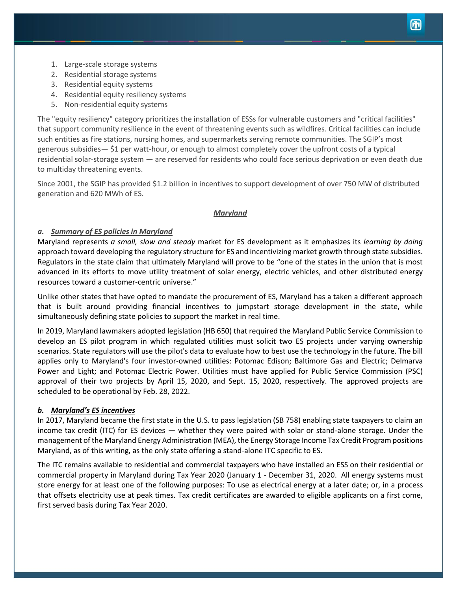- 1. Large-scale storage systems
- 2. Residential storage systems
- 3. Residential equity systems
- 4. Residential equity resiliency systems
- 5. Non-residential equity systems

The "equity resiliency" category prioritizes the installation of ESSs for vulnerable customers and "critical facilities" that support community resilience in the event of threatening events such as wildfires. Critical facilities can include such entities as fire stations, nursing homes, and supermarkets serving remote communities. The SGIP's most generous subsidies— \$1 per watt-hour, or enough to almost completely cover the upfront costs of a typical residential solar-storage system — are reserved for residents who could face serious deprivation or even death due to multiday threatening events.

Since 2001, the SGIP has provided \$1.2 billion in incentives to support development of over 750 MW of distributed generation and 620 MWh of ES.

#### *Maryland*

#### *a. Summary of ES policies in Maryland*

Maryland represents *a small, slow and steady* market for ES development as it emphasizes its *learning by doing* approach toward developing the regulatory structure for ES and incentivizing market growth through state subsidies. Regulators in the state claim that ultimately Maryland will prove to be "one of the states in the union that is most advanced in its efforts to move utility treatment of solar energy, electric vehicles, and other distributed energy resources toward a customer-centric universe."

Unlike other states that have opted to mandate the procurement of ES, Maryland has a taken a different approach that is built around providing financial incentives to jumpstart storage development in the state, while simultaneously defining state policies to support the market in real time.

In 2019, Maryland lawmakers adopted legislation (HB 650) that required the Maryland Public Service Commission to develop an ES pilot program in which regulated utilities must solicit two ES projects under varying ownership scenarios. State regulators will use the pilot's data to evaluate how to best use the technology in the future. The bill applies only to Maryland's four investor-owned utilities: Potomac Edison; Baltimore Gas and Electric; Delmarva Power and Light; and Potomac Electric Power. Utilities must have applied for Public Service Commission (PSC) approval of their two projects by April 15, 2020, and Sept. 15, 2020, respectively. The approved projects are scheduled to be operational by Feb. 28, 2022.

#### *b. Maryland's ES incentives*

In 2017, Maryland became the first state in the U.S. to pass legislation (SB 758) enabling state taxpayers to claim an income tax credit (ITC) for ES devices — whether they were paired with solar or stand-alone storage. Under the management of the Maryland Energy Administration (MEA), the Energy Storage Income Tax Credit Program positions Maryland, as of this writing, as the only state offering a stand-alone ITC specific to ES.

The ITC remains available to residential and commercial taxpayers who have installed an ESS on their residential or commercial property in Maryland during Tax Year 2020 (January 1 - December 31, 2020. All energy systems must store energy for at least one of the following purposes: To use as electrical energy at a later date; or, in a process that offsets electricity use at peak times. Tax credit certificates are awarded to eligible applicants on a first come, first served basis during Tax Year 2020.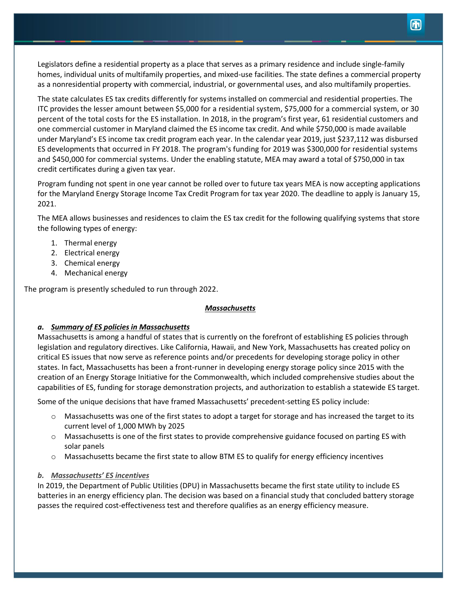Legislators define a residential property as a place that serves as a primary residence and include single-family homes, individual units of multifamily properties, and mixed-use facilities. The state defines a commercial property as a nonresidential property with commercial, industrial, or governmental uses, and also multifamily properties.

The state calculates ES tax credits differently for systems installed on commercial and residential properties. The ITC provides the lesser amount between \$5,000 for a residential system, \$75,000 for a commercial system, or 30 percent of the total costs for the ES installation. In 2018, in the program's first year, 61 residential customers and one commercial customer in Maryland claimed the ES income tax credit. And while \$750,000 is made available under Maryland's ES income tax credit program each year. In the calendar year 2019, just \$237,112 was disbursed ES developments that occurred in FY 2018. The program's funding for 2019 was \$300,000 for residential systems and \$450,000 for commercial systems. Under the enabling statute, MEA may award a total of \$750,000 in tax credit certificates during a given tax year.

Program funding not spent in one year cannot be rolled over to future tax years MEA is now accepting applications for the Maryland Energy Storage Income Tax Credit Program for tax year 2020. The deadline to apply is January 15, 2021.

The MEA allows businesses and residences to claim the ES tax credit for the following qualifying systems that store the following types of energy:

- 1. Thermal energy
- 2. Electrical energy
- 3. Chemical energy
- 4. Mechanical energy

The program is presently scheduled to run through 2022.

# *Massachusetts*

# *a. Summary of ES policies in Massachusetts*

Massachusetts is among a handful of states that is currently on the forefront of establishing ES policies through legislation and regulatory directives. Like California, Hawaii, and New York, Massachusetts has created policy on critical ES issues that now serve as reference points and/or precedents for developing storage policy in other states. In fact, Massachusetts has been a front-runner in developing energy storage policy since 2015 with the creation of an Energy Storage Initiative for the Commonwealth, which included comprehensive studies about the capabilities of ES, funding for storage demonstration projects, and authorization to establish a statewide ES target.

Some of the unique decisions that have framed Massachusetts' precedent-setting ES policy include:

- $\circ$  Massachusetts was one of the first states to adopt a target for storage and has increased the target to its current level of 1,000 MWh by 2025
- $\circ$  Massachusetts is one of the first states to provide comprehensive guidance focused on parting ES with solar panels
- o Massachusetts became the first state to allow BTM ES to qualify for energy efficiency incentives

# *b. Massachusetts' ES incentives*

In 2019, the Department of Public Utilities (DPU) in Massachusetts became the first state utility to include ES batteries in an energy efficiency plan. The decision was based on a financial study that concluded battery storage passes the required cost-effectiveness test and therefore qualifies as an energy efficiency measure.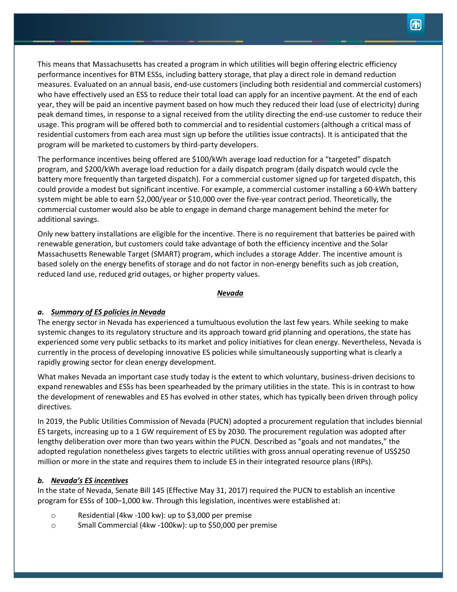This means that Massachusetts has created a program in which utilities will begin offering electric efficiency performance incentives for BTM ESSs, including battery storage, that play a direct role in demand reduction measures. Evaluated on an annual basis, end-use customers (including both residential and commercial customers) who have effectively used an ESS to reduce their total load can apply for an incentive payment. At the end of each year, they will be paid an incentive payment based on how much they reduced their load (use of electricity) during peak demand times, in response to a signal received from the utility directing the end-use customer to reduce their usage. This program will be offered both to commercial and to residential customers (although a critical mass of residential customers from each area must sign up before the utilities issue contracts). It is anticipated that the program will be marketed to customers by third-party developers.

The performance incentives being offered are \$100/kWh average load reduction for a "targeted" dispatch program, and \$200/kWh average load reduction for a daily dispatch program (daily dispatch would cycle the battery more frequently than targeted dispatch). For a commercial customer signed up for targeted dispatch, this could provide a modest but significant incentive. For example, a commercial customer installing a 60-kWh battery system might be able to earn \$2,000/year or \$10,000 over the five-year contract period. Theoretically, the commercial customer would also be able to engage in demand charge management behind the meter for additional savings.

Only new battery installations are eligible for the incentive. There is no requirement that batteries be paired with renewable generation, but customers could take advantage of both the efficiency incentive and the Solar Massachusetts Renewable Target (SMART) program, which includes a storage Adder. The incentive amount is based solely on the energy benefits of storage and do not factor in non-energy benefits such as job creation, reduced land use, reduced grid outages, or higher property values.

#### *Nevada*

# *a. Summary of ES policies in Nevada*

The energy sector in Nevada has experienced a tumultuous evolution the last few years. While seeking to make systemic changes to its regulatory structure and its approach toward grid planning and operations, the state has experienced some very public setbacks to its market and policy initiatives for clean energy. Nevertheless, Nevada is currently in the process of developing innovative ES policies while simultaneously supporting what is clearly a rapidly growing sector for clean energy development.

What makes Nevada an important case study today is the extent to which voluntary, business-driven decisions to expand renewables and ESSs has been spearheaded by the primary utilities in the state. This is in contrast to how the development of renewables and ES has evolved in other states, which has typically been driven through policy directives.

In 2019, the Public Utilities Commission of Nevada (PUCN) adopted a procurement regulation that includes biennial ES targets, increasing up to a 1 GW requirement of ES by 2030. The procurement regulation was adopted after lengthy deliberation over more than two years within the PUCN. Described as "goals and not mandates," the adopted regulation nonetheless gives targets to electric utilities with gross annual operating revenue of US\$250 million or more in the state and requires them to include ES in their integrated resource plans (IRPs).

#### *b. Nevada's ES incentives*

In the state of Nevada, Senate Bill 145 (Effective May 31, 2017) required the PUCN to establish an incentive program for ESSs of 100–1,000 kw. Through this legislation, incentives were established at:

- o Residential (4kw -100 kw): up to \$3,000 per premise
- o Small Commercial (4kw -100kw): up to \$50,000 per premise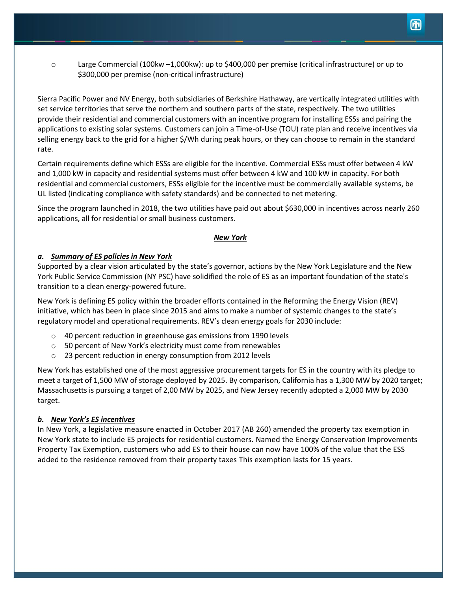o Large Commercial (100kw –1,000kw): up to \$400,000 per premise (critical infrastructure) or up to \$300,000 per premise (non-critical infrastructure)

Sierra Pacific Power and NV Energy, both subsidiaries of Berkshire Hathaway, are vertically integrated utilities with set service territories that serve the northern and southern parts of the state, respectively. The two utilities provide their residential and commercial customers with an incentive program for installing ESSs and pairing the applications to existing solar systems. Customers can join a Time-of-Use (TOU) rate plan and receive incentives via selling energy back to the grid for a higher \$/Wh during peak hours, or they can choose to remain in the standard rate.

Certain requirements define which ESSs are eligible for the incentive. Commercial ESSs must offer between 4 kW and 1,000 kW in capacity and residential systems must offer between 4 kW and 100 kW in capacity. For both residential and commercial customers, ESSs eligible for the incentive must be commercially available systems, be UL listed (indicating compliance with safety standards) and be connected to net metering.

Since the program launched in 2018, the two utilities have paid out about \$630,000 in incentives across nearly 260 applications, all for residential or small business customers.

# *New York*

# *a. Summary of ES policies in New York*

Supported by a clear vision articulated by the state's governor, actions by the New York Legislature and the New York Public Service Commission (NY PSC) have solidified the role of ES as an important foundation of the state's transition to a clean energy-powered future.

New York is defining ES policy within the broader efforts contained in the Reforming the Energy Vision (REV) initiative, which has been in place since 2015 and aims to make a number of systemic changes to the state's regulatory model and operational requirements. REV's clean energy goals for 2030 include:

- o 40 percent reduction in greenhouse gas emissions from 1990 levels
- o 50 percent of New York's electricity must come from renewables
- o 23 percent reduction in energy consumption from 2012 levels

New York has established one of the most aggressive procurement targets for ES in the country with its pledge to meet a target of 1,500 MW of storage deployed by 2025. By comparison, California has a 1,300 MW by 2020 target; Massachusetts is pursuing a target of 2,00 MW by 2025, and New Jersey recently adopted a 2,000 MW by 2030 target.

# *b. New York's ES incentives*

In New York, a legislative measure enacted in October 2017 (AB 260) amended the property tax exemption in New York state to include ES projects for residential customers. Named the Energy Conservation Improvements Property Tax Exemption, customers who add ES to their house can now have 100% of the value that the ESS added to the residence removed from their property taxes This exemption lasts for 15 years.